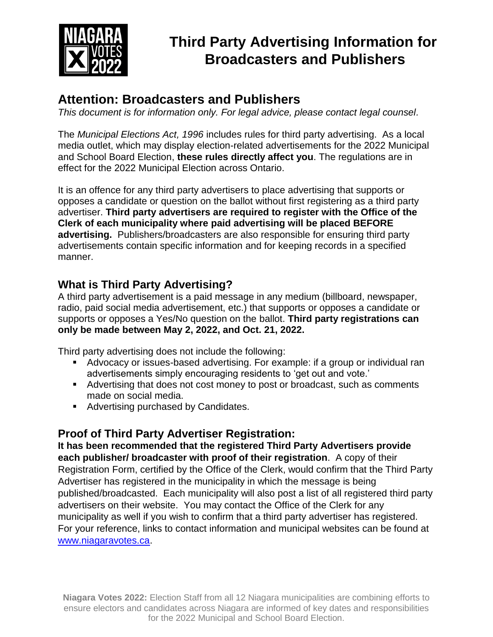

# **Third Party Advertising Information for Broadcasters and Publishers**

## **Attention: Broadcasters and Publishers**

*This document is for information only. For legal advice, please contact legal counsel.*

The *Municipal Elections Act, 1996* includes rules for third party advertising. As a local media outlet, which may display election-related advertisements for the 2022 Municipal and School Board Election, **these rules directly affect you**. The regulations are in effect for the 2022 Municipal Election across Ontario.

It is an offence for any third party advertisers to place advertising that supports or opposes a candidate or question on the ballot without first registering as a third party advertiser. **Third party advertisers are required to register with the Office of the Clerk of each municipality where paid advertising will be placed BEFORE advertising.** Publishers/broadcasters are also responsible for ensuring third party advertisements contain specific information and for keeping records in a specified manner.

## **What is Third Party Advertising?**

A third party advertisement is a paid message in any medium (billboard, newspaper, radio, paid social media advertisement, etc.) that supports or opposes a candidate or supports or opposes a Yes/No question on the ballot. **Third party registrations can only be made between May 2, 2022, and Oct. 21, 2022.**

Third party advertising does not include the following:

- Advocacy or issues-based advertising. For example: if a group or individual ran advertisements simply encouraging residents to 'get out and vote.'
- Advertising that does not cost money to post or broadcast, such as comments made on social media.
- **Advertising purchased by Candidates.**

### **Proof of Third Party Advertiser Registration:**

**It has been recommended that the registered Third Party Advertisers provide each publisher/ broadcaster with proof of their registration**. A copy of their Registration Form, certified by the Office of the Clerk, would confirm that the Third Party Advertiser has registered in the municipality in which the message is being published/broadcasted. Each municipality will also post a list of all registered third party advertisers on their website. You may contact the Office of the Clerk for any municipality as well if you wish to confirm that a third party advertiser has registered. For your reference, links to contact information and municipal websites can be found at [www.niagaravotes.ca.](http://www.niagaravotes.ca/)